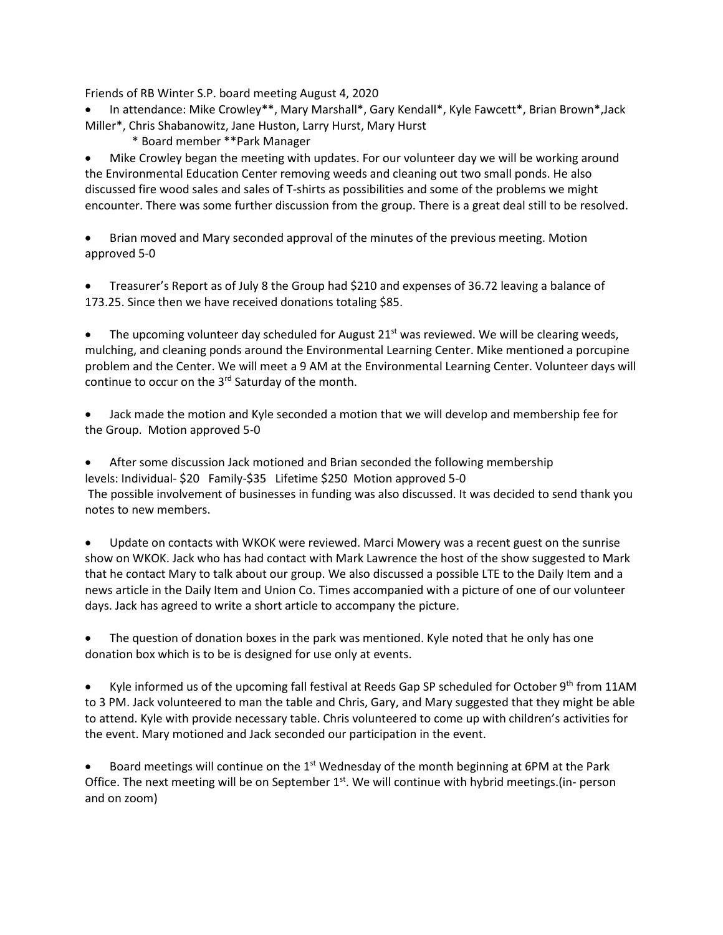Friends of RB Winter S.P. board meeting August 4, 2020

- In attendance: Mike Crowley\*\*, Mary Marshall\*, Gary Kendall\*, Kyle Fawcett\*, Brian Brown\*,Jack Miller\*, Chris Shabanowitz, Jane Huston, Larry Hurst, Mary Hurst
	- \* Board member \*\*Park Manager

• Mike Crowley began the meeting with updates. For our volunteer day we will be working around the Environmental Education Center removing weeds and cleaning out two small ponds. He also discussed fire wood sales and sales of T-shirts as possibilities and some of the problems we might encounter. There was some further discussion from the group. There is a great deal still to be resolved.

• Brian moved and Mary seconded approval of the minutes of the previous meeting. Motion approved 5-0

• Treasurer's Report as of July 8 the Group had \$210 and expenses of 36.72 leaving a balance of 173.25. Since then we have received donations totaling \$85.

• The upcoming volunteer day scheduled for August  $21<sup>st</sup>$  was reviewed. We will be clearing weeds, mulching, and cleaning ponds around the Environmental Learning Center. Mike mentioned a porcupine problem and the Center. We will meet a 9 AM at the Environmental Learning Center. Volunteer days will continue to occur on the  $3<sup>rd</sup>$  Saturday of the month.

• Jack made the motion and Kyle seconded a motion that we will develop and membership fee for the Group. Motion approved 5-0

• After some discussion Jack motioned and Brian seconded the following membership levels: Individual- \$20 Family-\$35 Lifetime \$250 Motion approved 5-0 The possible involvement of businesses in funding was also discussed. It was decided to send thank you notes to new members.

• Update on contacts with WKOK were reviewed. Marci Mowery was a recent guest on the sunrise show on WKOK. Jack who has had contact with Mark Lawrence the host of the show suggested to Mark that he contact Mary to talk about our group. We also discussed a possible LTE to the Daily Item and a news article in the Daily Item and Union Co. Times accompanied with a picture of one of our volunteer days. Jack has agreed to write a short article to accompany the picture.

• The question of donation boxes in the park was mentioned. Kyle noted that he only has one donation box which is to be is designed for use only at events.

Kyle informed us of the upcoming fall festival at Reeds Gap SP scheduled for October 9<sup>th</sup> from 11AM to 3 PM. Jack volunteered to man the table and Chris, Gary, and Mary suggested that they might be able to attend. Kyle with provide necessary table. Chris volunteered to come up with children's activities for the event. Mary motioned and Jack seconded our participation in the event.

Board meetings will continue on the  $1<sup>st</sup>$  Wednesday of the month beginning at 6PM at the Park Office. The next meeting will be on September  $1<sup>st</sup>$ . We will continue with hybrid meetings.(in- person and on zoom)